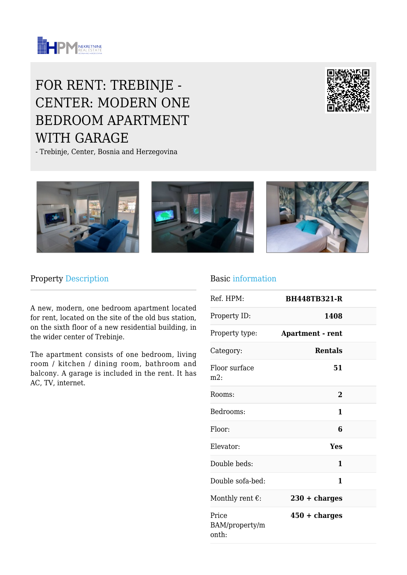

# FOR RENT: TREBINJE - CENTER: MODERN ONE BEDROOM APARTMENT WITH GARAGE

- Trebinje, Center, Bosnia and Herzegovina





#### Property Description

A new, modern, one bedroom apartment located for rent, located on the site of the old bus station, on the sixth floor of a new residential building, in the wider center of Trebinje.

The apartment consists of one bedroom, living room / kitchen / dining room, bathroom and balcony. A garage is included in the rent. It has AC, TV, internet.

#### Basic information

| Ref. HPM:                        | <b>BH448TB321-R</b>     |  |
|----------------------------------|-------------------------|--|
| Property ID:                     | 1408                    |  |
| Property type:                   | <b>Apartment - rent</b> |  |
| Category:                        | <b>Rentals</b>          |  |
| Floor surface<br>$m2$ :          | 51                      |  |
| Rooms:                           | $\overline{2}$          |  |
| Bedrooms:                        | 1                       |  |
| Floor:                           | 6                       |  |
| Elevator:                        | Yes                     |  |
| Double beds:                     | 1                       |  |
| Double sofa-bed:                 | 1                       |  |
| Monthly rent $\epsilon$ :        | $230 + charges$         |  |
| Price<br>BAM/property/m<br>onth: | $450 + charges$         |  |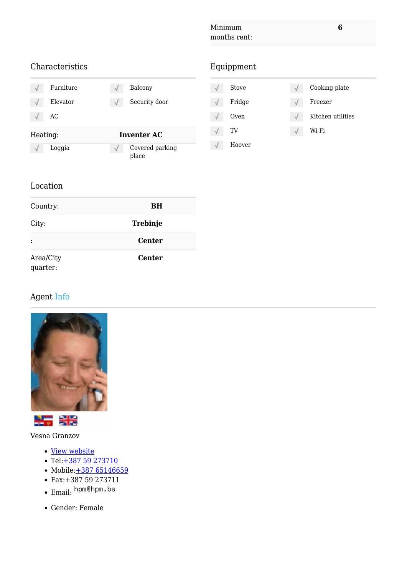### Characteristics Furniture  $\sqrt{\phantom{a}}$  Balcony  $\sqrt{ }$ Elevator  $\sqrt{ }$  Security door AC  $\sqrt{ }$ Heating: **Inventer AC**  $\sqrt{\phantom{a}}$  Loggia  $\sqrt{\phantom{a}}$  Covered parking place

# Equippment

| Stove  |    | Cooking plate     |
|--------|----|-------------------|
| Fridge |    | Freezer           |
| Oven   | ٦J | Kitchen utilities |
| TV     |    | Wi-Fi             |
| Hoover |    |                   |

#### Location

| Country:              | <b>BH</b>       |
|-----------------------|-----------------|
| City:                 | <b>Trebinje</b> |
|                       | <b>Center</b>   |
| Area/City<br>quarter: | <b>Center</b>   |

# Agent Info

![](_page_1_Picture_8.jpeg)

![](_page_1_Picture_9.jpeg)

Vesna Granzov

- · [View website](https://www.hpm.ba)
- $\cdot$  Tel: $+38759273710$
- Mobile: [+387 65146659](https://www.hpm.ba/tel:+387 65146659)
- Fax:+387 59 273711
- ·Email: hpm@hpm.ba
- Gender: Female

**6**